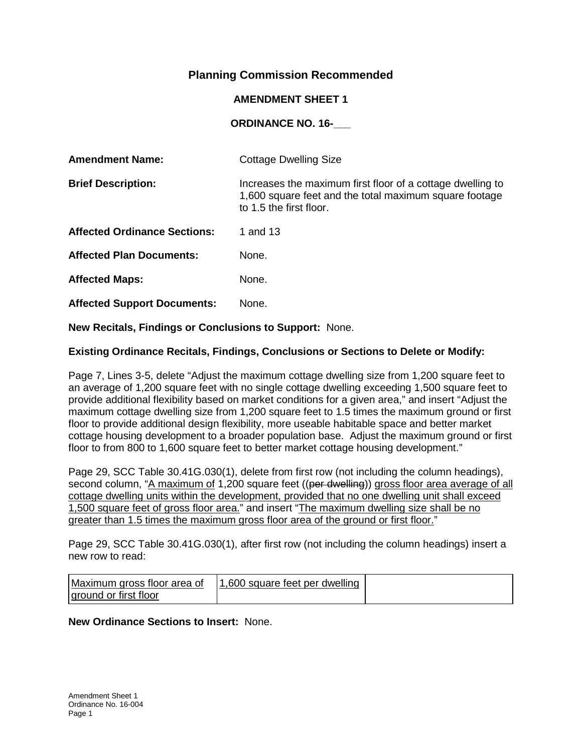# **Planning Commission Recommended**

### **AMENDMENT SHEET 1**

## **ORDINANCE NO. 16-\_\_\_**

| <b>Amendment Name:</b>              | <b>Cottage Dwelling Size</b>                                                                                                                    |
|-------------------------------------|-------------------------------------------------------------------------------------------------------------------------------------------------|
| <b>Brief Description:</b>           | Increases the maximum first floor of a cottage dwelling to<br>1,600 square feet and the total maximum square footage<br>to 1.5 the first floor. |
| <b>Affected Ordinance Sections:</b> | 1 and 13                                                                                                                                        |
| <b>Affected Plan Documents:</b>     | None.                                                                                                                                           |
| <b>Affected Maps:</b>               | None.                                                                                                                                           |
| <b>Affected Support Documents:</b>  | None.                                                                                                                                           |

**New Recitals, Findings or Conclusions to Support:** None.

### **Existing Ordinance Recitals, Findings, Conclusions or Sections to Delete or Modify:**

Page 7, Lines 3-5, delete "Adjust the maximum cottage dwelling size from 1,200 square feet to an average of 1,200 square feet with no single cottage dwelling exceeding 1,500 square feet to provide additional flexibility based on market conditions for a given area," and insert "Adjust the maximum cottage dwelling size from 1,200 square feet to 1.5 times the maximum ground or first floor to provide additional design flexibility, more useable habitable space and better market cottage housing development to a broader population base. Adjust the maximum ground or first floor to from 800 to 1,600 square feet to better market cottage housing development."

Page 29, SCC Table 30.41G.030(1), delete from first row (not including the column headings), second column, "A maximum of 1,200 square feet ((per dwelling)) gross floor area average of all cottage dwelling units within the development, provided that no one dwelling unit shall exceed 1,500 square feet of gross floor area." and insert "The maximum dwelling size shall be no greater than 1.5 times the maximum gross floor area of the ground or first floor."

Page 29, SCC Table 30.41G.030(1), after first row (not including the column headings) insert a new row to read:

| Maximum gross floor area of | 1,600 square feet per dwelling |  |
|-----------------------------|--------------------------------|--|
| ground or first floor       |                                |  |

### **New Ordinance Sections to Insert:** None.